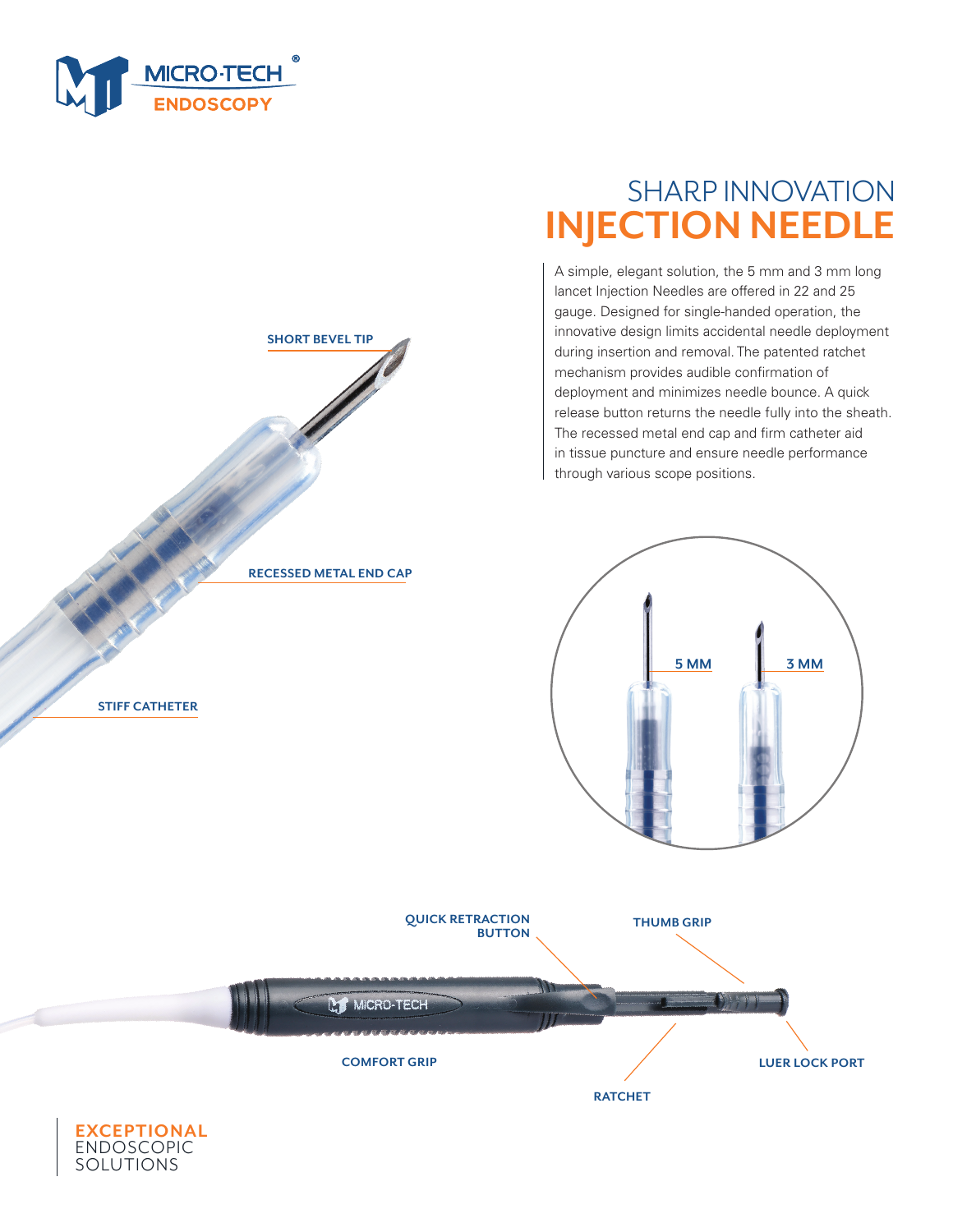

**SHORT BEVEL TIP**



A simple, elegant solution, the 5 mm and 3 mm long lancet Injection Needles are offered in 22 and 25 gauge. Designed for single-handed operation, the innovative design limits accidental needle deployment during insertion and removal. The patented ratchet mechanism provides audible confirmation of deployment and minimizes needle bounce. A quick release button returns the needle fully into the sheath. The recessed metal end cap and firm catheter aid in tissue puncture and ensure needle performance through various scope positions.





**STIFF CATHETER**